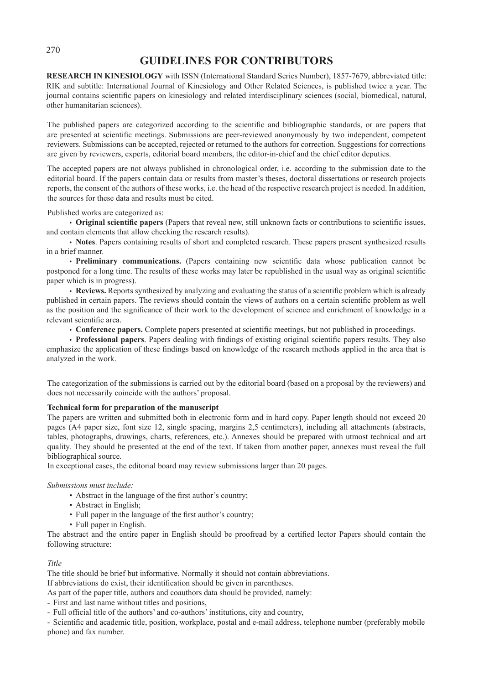# **GUIDELINES FOR CONTRIBUTORS**

**RESEARCH IN KINESIOLOGY** with ISSN (International Standard Series Number), 1857-7679, abbreviated title: RIK and subtitle: International Journal of Kinesiology and Other Related Sciences, is published twice a year. The journal contains scientific papers on kinesiology and related interdisciplinary sciences (social, biomedical, natural, other humanitarian sciences).

The published papers are categorized according to the scientific and bibliographic standards, or are papers that are presented at scientific meetings. Submissions are peer-reviewed anonymously by two independent, competent reviewers. Submissions can be accepted, rejected or returned to the authors for correction. Suggestions for corrections are given by reviewers, experts, editorial board members, the editor-in-chief and the chief editor deputies.

The accepted papers are not always published in chronological order, i.e. according to the submission date to the editorial board. If the papers contain data or results from master's theses, doctoral dissertations or research projects reports, the consent of the authors of these works, i.e. the head of the respective research project is needed. In addition, the sources for these data and results must be cited.

Published works are categorized as:

• **Original scientific papers** (Papers that reveal new, still unknown facts or contributions to scientific issues, and contain elements that allow checking the research results).

• **Notes**. Papers containing results of short and completed research. These papers present synthesized results in a brief manner.

• **Preliminary communications.** (Papers containing new scientific data whose publication cannot be postponed for a long time. The results of these works may later be republished in the usual way as original scientific paper which is in progress).

• **Reviews.** Reports synthesized by analyzing and evaluating the status of a scientific problem which is already published in certain papers. The reviews should contain the views of authors on a certain scientific problem as well as the position and the significance of their work to the development of science and enrichment of knowledge in a relevant scientific area.

• **Conference papers.** Complete papers presented at scientific meetings, but not published in proceedings.

• **Professional papers**. Papers dealing with findings of existing original scientific papers results. They also emphasize the application of these findings based on knowledge of the research methods applied in the area that is analyzed in the work.

The categorization of the submissions is carried out by the editorial board (based on a proposal by the reviewers) and does not necessarily coincide with the authors' proposal.

# **Technical form for preparation of the manuscript**

The papers are written and submitted both in electronic form and in hard copy. Paper length should not exceed 20 pages (A4 paper size, font size 12, single spacing, margins 2,5 centimeters), including all attachments (abstracts, tables, photographs, drawings, charts, references, etc.). Annexes should be prepared with utmost technical and art quality. They should be presented at the end of the text. If taken from another paper, annexes must reveal the full bibliographical source.

In exceptional cases, the editorial board may review submissions larger than 20 pages.

# *Submissions must include:*

- Abstract in the language of the first author's country;
- Abstract in English;
- Full paper in the language of the first author's country;
- Full paper in English.

The abstract and the entire paper in English should be proofread by a certified lector Papers should contain the following structure:

# *Title*

The title should be brief but informative. Normally it should not contain abbreviations.

If abbreviations do exist, their identification should be given in parentheses.

As part of the paper title, authors and coauthors data should be provided, namely:

- First and last name without titles and positions,
- Full official title of the authors' and co-authors' institutions, city and country,

- Scientific and academic title, position, workplace, postal and e-mail address, telephone number (preferably mobile phone) and fax number.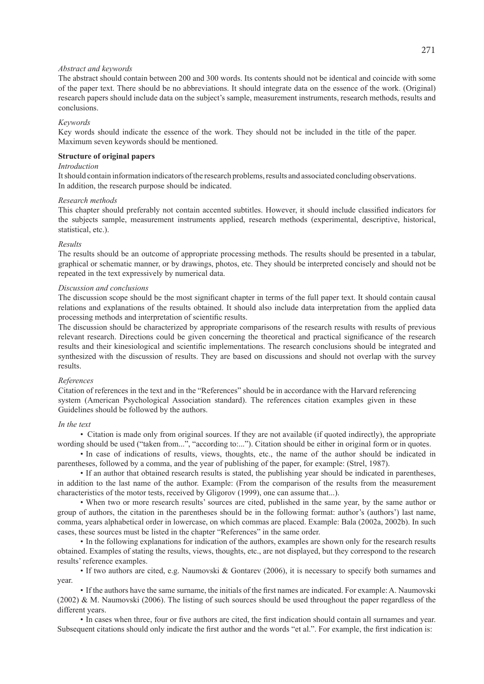#### *Abstract and keywords*

The abstract should contain between 200 and 300 words. Its contents should not be identical and coincide with some of the paper text. There should be no abbreviations. It should integrate data on the essence of the work. (Original) research papers should include data on the subject's sample, measurement instruments, research methods, results and conclusions.

#### *Keywords*

Key words should indicate the essence of the work. They should not be included in the title of the paper. Maximum seven keywords should be mentioned.

#### **Structure of original papers**

# *Introduction*

It should contain information indicators of the research problems, results and associated concluding observations. In addition, the research purpose should be indicated.

#### *Research methods*

This chapter should preferably not contain accented subtitles. However, it should include classified indicators for the subjects sample, measurement instruments applied, research methods (experimental, descriptive, historical, statistical, etc.).

#### *Results*

The results should be an outcome of appropriate processing methods. The results should be presented in a tabular, graphical or schematic manner, or by drawings, photos, etc. They should be interpreted concisely and should not be repeated in the text expressively by numerical data.

#### *Discussion and conclusions*

The discussion scope should be the most significant chapter in terms of the full paper text. It should contain causal relations and explanations of the results obtained. It should also include data interpretation from the applied data processing methods and interpretation of scientific results.

The discussion should be characterized by appropriate comparisons of the research results with results of previous relevant research. Directions could be given concerning the theoretical and practical significance of the research results and their kinesiological and scientific implementations. The research conclusions should be integrated and synthesized with the discussion of results. They are based on discussions and should not overlap with the survey results.

#### *References*

Citation of references in the text and in the "References" should be in accordance with the Harvard referencing system (American Psychological Association standard). The references citation examples given in these Guidelines should be followed by the authors.

#### *In the text*

• Citation is made only from original sources. If they are not available (if quoted indirectly), the appropriate wording should be used ("taken from...", "according to:..."). Citation should be either in original form or in quotes.

• In case of indications of results, views, thoughts, etc., the name of the author should be indicated in parentheses, followed by a comma, and the year of publishing of the paper, for example: (Strel, 1987).

• If an author that obtained research results is stated, the publishing year should be indicated in parentheses, in addition to the last name of the author. Example: (From the comparison of the results from the measurement characteristics of the motor tests, received by Gligorov (1999), one can assume that...).

• When two or more research results' sources are cited, published in the same year, by the same author or group of authors, the citation in the parentheses should be in the following format: author's (authors') last name, comma, years alphabetical order in lowercase, on which commas are placed. Example: Bala (2002a, 2002b). In such cases, these sources must be listed in the chapter "References" in the same order.

• In the following explanations for indication of the authors, examples are shown only for the research results obtained. Examples of stating the results, views, thoughts, etc., are not displayed, but they correspond to the research results' reference examples.

• If two authors are cited, e.g. Naumovski & Gontarev (2006), it is necessary to specify both surnames and year.

• If the authors have the same surname, the initials of the first names are indicated. For example: A. Naumovski (2002) & M. Naumovski (2006). The listing of such sources should be used throughout the paper regardless of the different years.

• In cases when three, four or five authors are cited, the first indication should contain all surnames and year. Subsequent citations should only indicate the first author and the words "et al.". For example, the first indication is: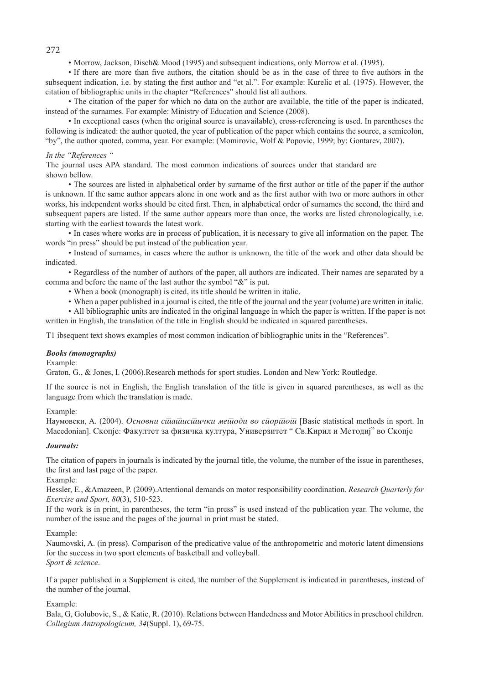• Morrow, Jackson, Disch& Mood (1995) and subsequent indications, only Morrow et al. (1995).

• If there are more than five authors, the citation should be as in the case of three to five authors in the subsequent indication, i.e. by stating the first author and "et al.". For example: Kurelic et al. (1975). However, the citation of bibliographic units in the chapter "References" should list all authors.

• The citation of the paper for which no data on the author are available, the title of the paper is indicated, instead of the surnames. For example: Ministry of Education and Science (2008).

• In exceptional cases (when the original source is unavailable), cross-referencing is used. In parentheses the following is indicated: the author quoted, the year of publication of the paper which contains the source, a semicolon, "by", the author quoted, comma, year. For example: (Momirovic, Wolf & Popovic, 1999; by: Gontarev, 2007).

#### *In the "References "*

The journal uses APA standard. The most common indications of sources under that standard are shown bellow.

• The sources are listed in alphabetical order by surname of the first author or title of the paper if the author is unknown. If the same author appears alone in one work and as the first author with two or more authors in other works, his independent works should be cited first. Then, in alphabetical order of surnames the second, the third and subsequent papers are listed. If the same author appears more than once, the works are listed chronologically, i.e. starting with the earliest towards the latest work.

• In cases where works are in process of publication, it is necessary to give all information on the paper. The words "in press" should be put instead of the publication year.

• Instead of surnames, in cases where the author is unknown, the title of the work and other data should be indicated.

• Regardless of the number of authors of the paper, all authors are indicated. Their names are separated by a comma and before the name of the last author the symbol "&" is put.

- When a book (monograph) is cited, its title should be written in italic.
- When a paper published in a journal is cited, the title of the journal and the year (volume) are written in italic.
- All bibliographic units are indicated in the original language in which the paper is written. If the paper is not written in English, the translation of the title in English should be indicated in squared parentheses.

T1 ibsequent text shows examples of most common indication of bibliographic units in the "References".

# *Books (monographs)*

Example:

Graton, G., & Jones, I. (2006).Research methods for sport studies. London and New York: Routledge.

If the source is not in English, the English translation of the title is given in squared parentheses, as well as the language from which the translation is made.

# Example:

Hаумовски, A. (2004). *Основни синашиси и методи во споритоти* [Basic statistical methods in sport. In Macedonian]. Скопје: Факултет за физичка култура, Универзитет " Св. Кирил и Методиј" во Скопје

# *Journals:*

The citation of papers in journals is indicated by the journal title, the volume, the number of the issue in parentheses, the first and last page of the paper.

Example:

Hessler, E., &Amazeen, P. (2009).Attentional demands on motor responsibility coordination. *Research Quarterly for Exercise and Sport, 80*(3), 510-523.

If the work is in print, in parentheses, the term "in press" is used instead of the publication year. The volume, the number of the issue and the pages of the journal in print must be stated.

# Example:

Naumovski, A. (in press). Comparison of the predicative value of the anthropometric and motoric latent dimensions for the success in two sport elements of basketball and volleyball. *Sport & science*.

If a paper published in a Supplement is cited, the number of the Supplement is indicated in parentheses, instead of the number of the journal.

# Example:

Bala, G, Golubovic, S., & Katie, R. (2010). Relations between Handedness and Motor Abilities in preschool children. *Collegium Antropologicum, 34*(Suppl. 1), 69-75.

272